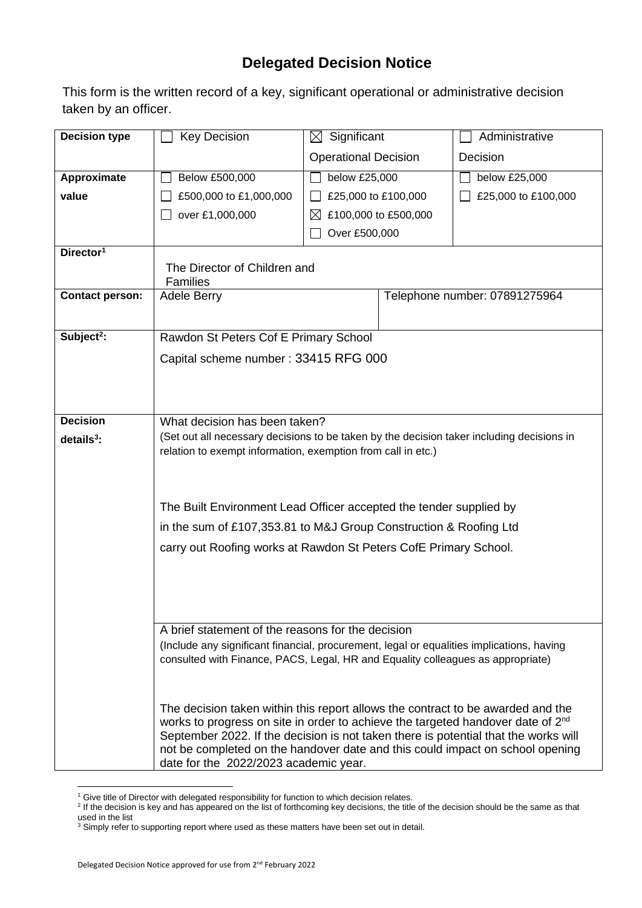## **Delegated Decision Notice**

This form is the written record of a key, significant operational or administrative decision taken by an officer.

| <b>Decision type</b>   | <b>Key Decision</b>                                                                                                                                                  | $\boxtimes$ Significant               |  | Administrative                |  |  |  |
|------------------------|----------------------------------------------------------------------------------------------------------------------------------------------------------------------|---------------------------------------|--|-------------------------------|--|--|--|
|                        |                                                                                                                                                                      |                                       |  | Decision                      |  |  |  |
|                        |                                                                                                                                                                      | <b>Operational Decision</b>           |  |                               |  |  |  |
| Approximate            | Below £500,000                                                                                                                                                       | below £25,000                         |  | below £25,000                 |  |  |  |
| value                  | £500,000 to £1,000,000                                                                                                                                               | £25,000 to £100,000                   |  | £25,000 to £100,000           |  |  |  |
|                        | over £1,000,000                                                                                                                                                      | £100,000 to £500,000<br>IХ            |  |                               |  |  |  |
|                        |                                                                                                                                                                      | Over £500,000                         |  |                               |  |  |  |
| Director <sup>1</sup>  |                                                                                                                                                                      |                                       |  |                               |  |  |  |
|                        | The Director of Children and<br>Families                                                                                                                             |                                       |  |                               |  |  |  |
| <b>Contact person:</b> | Adele Berry                                                                                                                                                          |                                       |  | Telephone number: 07891275964 |  |  |  |
|                        |                                                                                                                                                                      |                                       |  |                               |  |  |  |
| Subject <sup>2</sup> : | Rawdon St Peters Cof E Primary School                                                                                                                                |                                       |  |                               |  |  |  |
|                        | Capital scheme number: 33415 RFG 000                                                                                                                                 |                                       |  |                               |  |  |  |
|                        |                                                                                                                                                                      |                                       |  |                               |  |  |  |
|                        |                                                                                                                                                                      |                                       |  |                               |  |  |  |
| <b>Decision</b>        |                                                                                                                                                                      |                                       |  |                               |  |  |  |
| $details3$ :           | What decision has been taken?<br>(Set out all necessary decisions to be taken by the decision taker including decisions in                                           |                                       |  |                               |  |  |  |
|                        | relation to exempt information, exemption from call in etc.)                                                                                                         |                                       |  |                               |  |  |  |
|                        |                                                                                                                                                                      |                                       |  |                               |  |  |  |
|                        |                                                                                                                                                                      |                                       |  |                               |  |  |  |
|                        | The Built Environment Lead Officer accepted the tender supplied by                                                                                                   |                                       |  |                               |  |  |  |
|                        | in the sum of £107,353.81 to M&J Group Construction & Roofing Ltd                                                                                                    |                                       |  |                               |  |  |  |
|                        |                                                                                                                                                                      |                                       |  |                               |  |  |  |
|                        | carry out Roofing works at Rawdon St Peters CofE Primary School.                                                                                                     |                                       |  |                               |  |  |  |
|                        |                                                                                                                                                                      |                                       |  |                               |  |  |  |
|                        |                                                                                                                                                                      |                                       |  |                               |  |  |  |
|                        |                                                                                                                                                                      |                                       |  |                               |  |  |  |
|                        | A brief statement of the reasons for the decision                                                                                                                    |                                       |  |                               |  |  |  |
|                        | (Include any significant financial, procurement, legal or equalities implications, having                                                                            |                                       |  |                               |  |  |  |
|                        | consulted with Finance, PACS, Legal, HR and Equality colleagues as appropriate)                                                                                      |                                       |  |                               |  |  |  |
|                        |                                                                                                                                                                      |                                       |  |                               |  |  |  |
|                        | The decision taken within this report allows the contract to be awarded and the                                                                                      |                                       |  |                               |  |  |  |
|                        | works to progress on site in order to achieve the targeted handover date of 2 <sup>nd</sup>                                                                          |                                       |  |                               |  |  |  |
|                        | September 2022. If the decision is not taken there is potential that the works will<br>not be completed on the handover date and this could impact on school opening |                                       |  |                               |  |  |  |
|                        |                                                                                                                                                                      | date for the 2022/2023 academic year. |  |                               |  |  |  |

<sup>&</sup>lt;sup>1</sup> Give title of Director with delegated responsibility for function to which decision relates.<br><sup>2</sup> If the decision is key and has appeared on the list of forthcoming key decisions, the title of the decision should be the used in the list

 $3$  Simply refer to supporting report where used as these matters have been set out in detail.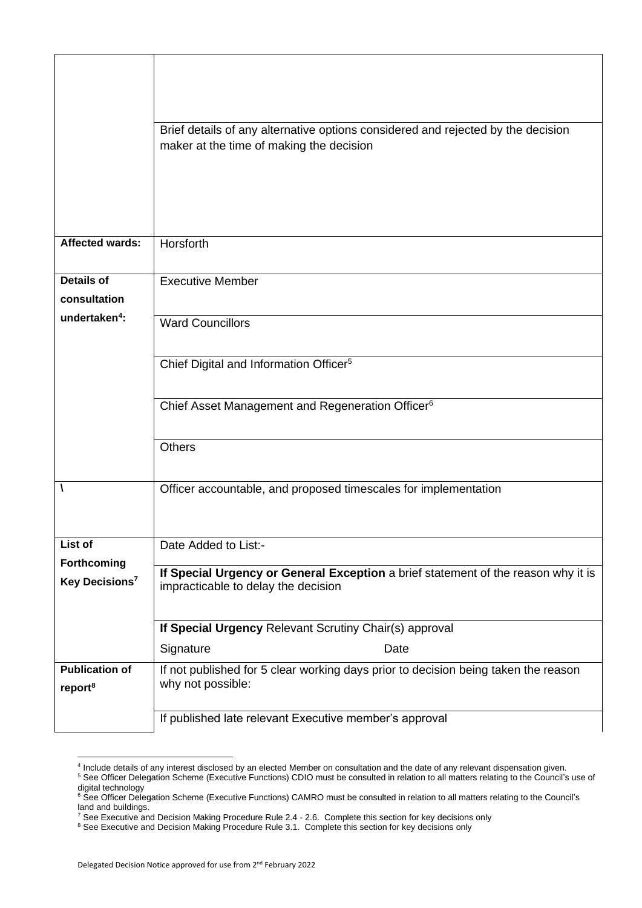|                                              | Brief details of any alternative options considered and rejected by the decision<br>maker at the time of making the decision |  |  |  |  |  |
|----------------------------------------------|------------------------------------------------------------------------------------------------------------------------------|--|--|--|--|--|
|                                              |                                                                                                                              |  |  |  |  |  |
|                                              |                                                                                                                              |  |  |  |  |  |
| Affected wards:                              | Horsforth                                                                                                                    |  |  |  |  |  |
| <b>Details of</b>                            | <b>Executive Member</b>                                                                                                      |  |  |  |  |  |
| consultation                                 |                                                                                                                              |  |  |  |  |  |
| undertaken <sup>4</sup> :                    | <b>Ward Councillors</b>                                                                                                      |  |  |  |  |  |
|                                              | Chief Digital and Information Officer <sup>5</sup>                                                                           |  |  |  |  |  |
|                                              | Chief Asset Management and Regeneration Officer <sup>6</sup>                                                                 |  |  |  |  |  |
|                                              | <b>Others</b>                                                                                                                |  |  |  |  |  |
|                                              | Officer accountable, and proposed timescales for implementation                                                              |  |  |  |  |  |
| List of                                      | Date Added to List:-                                                                                                         |  |  |  |  |  |
| Forthcoming                                  | If Special Urgency or General Exception a brief statement of the reason why it is                                            |  |  |  |  |  |
| Key Decisions <sup>7</sup>                   | impracticable to delay the decision                                                                                          |  |  |  |  |  |
|                                              | If Special Urgency Relevant Scrutiny Chair(s) approval                                                                       |  |  |  |  |  |
|                                              | Signature<br>Date                                                                                                            |  |  |  |  |  |
| <b>Publication of</b><br>report <sup>8</sup> | If not published for 5 clear working days prior to decision being taken the reason<br>why not possible:                      |  |  |  |  |  |
|                                              | If published late relevant Executive member's approval                                                                       |  |  |  |  |  |

<sup>4</sup> Include details of any interest disclosed by an elected Member on consultation and the date of any relevant dispensation given.

<sup>&</sup>lt;sup>5</sup> See Officer Delegation Scheme (Executive Functions) CDIO must be consulted in relation to all matters relating to the Council's use of digital technology

<sup>&</sup>lt;sup>6</sup> See Officer Delegation Scheme (Executive Functions) CAMRO must be consulted in relation to all matters relating to the Council's land and buildings.

 $^7$  See Executive and Decision Making Procedure Rule 2.4 - 2.6. Complete this section for key decisions only

<sup>&</sup>lt;sup>8</sup> See Executive and Decision Making Procedure Rule 3.1. Complete this section for key decisions only